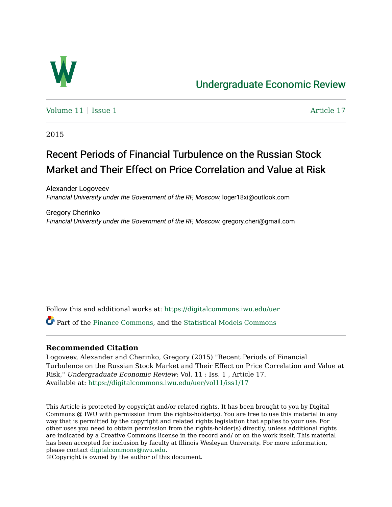

## [Undergraduate Economic Review](https://digitalcommons.iwu.edu/uer)

Volume  $11$  [Issue 1](https://digitalcommons.iwu.edu/uer/vol11/iss1)  $\blacksquare$ 

2015

# Recent Periods of Financial Turbulence on the Russian Stock Market and Their Effect on Price Correlation and Value at Risk

Alexander Logoveev Financial University under the Government of the RF, Moscow, loger18xi@outlook.com

Gregory Cherinko Financial University under the Government of the RF, Moscow, gregory.cheri@gmail.com

Follow this and additional works at: [https://digitalcommons.iwu.edu/uer](https://digitalcommons.iwu.edu/uer?utm_source=digitalcommons.iwu.edu%2Fuer%2Fvol11%2Fiss1%2F17&utm_medium=PDF&utm_campaign=PDFCoverPages)

Part of the [Finance Commons](http://network.bepress.com/hgg/discipline/345?utm_source=digitalcommons.iwu.edu%2Fuer%2Fvol11%2Fiss1%2F17&utm_medium=PDF&utm_campaign=PDFCoverPages), and the [Statistical Models Commons](http://network.bepress.com/hgg/discipline/827?utm_source=digitalcommons.iwu.edu%2Fuer%2Fvol11%2Fiss1%2F17&utm_medium=PDF&utm_campaign=PDFCoverPages) 

#### **Recommended Citation**

Logoveev, Alexander and Cherinko, Gregory (2015) "Recent Periods of Financial Turbulence on the Russian Stock Market and Their Effect on Price Correlation and Value at Risk," Undergraduate Economic Review: Vol. 11 : Iss. 1 , Article 17. Available at: [https://digitalcommons.iwu.edu/uer/vol11/iss1/17](https://digitalcommons.iwu.edu/uer/vol11/iss1/17?utm_source=digitalcommons.iwu.edu%2Fuer%2Fvol11%2Fiss1%2F17&utm_medium=PDF&utm_campaign=PDFCoverPages) 

This Article is protected by copyright and/or related rights. It has been brought to you by Digital Commons @ IWU with permission from the rights-holder(s). You are free to use this material in any way that is permitted by the copyright and related rights legislation that applies to your use. For other uses you need to obtain permission from the rights-holder(s) directly, unless additional rights are indicated by a Creative Commons license in the record and/ or on the work itself. This material has been accepted for inclusion by faculty at Illinois Wesleyan University. For more information, please contact [digitalcommons@iwu.edu.](mailto:digitalcommons@iwu.edu)

©Copyright is owned by the author of this document.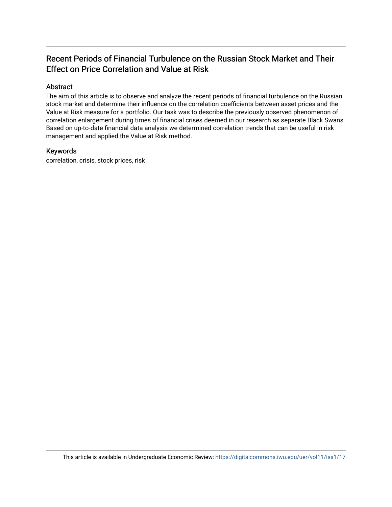### Recent Periods of Financial Turbulence on the Russian Stock Market and Their Effect on Price Correlation and Value at Risk

#### Abstract

The aim of this article is to observe and analyze the recent periods of financial turbulence on the Russian stock market and determine their influence on the correlation coefficients between asset prices and the Value at Risk measure for a portfolio. Our task was to describe the previously observed phenomenon of correlation enlargement during times of financial crises deemed in our research as separate Black Swans. Based on up-to-date financial data analysis we determined correlation trends that can be useful in risk management and applied the Value at Risk method.

#### Keywords

correlation, crisis, stock prices, risk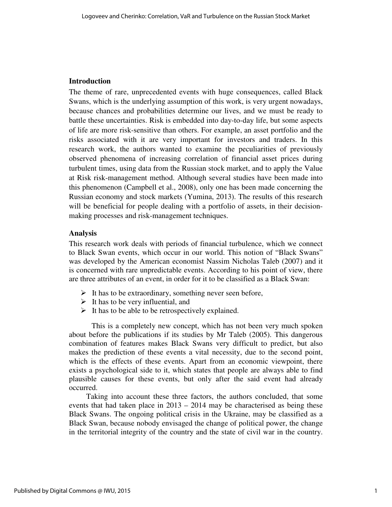#### **Introduction**

The theme of rare, unprecedented events with huge consequences, called Black Swans, which is the underlying assumption of this work, is very urgent nowadays, because chances and probabilities determine our lives, and we must be ready to battle these uncertainties. Risk is embedded into day-to-day life, but some aspects of life are more risk-sensitive than others. For example, an asset portfolio and the risks associated with it are very important for investors and traders. In this research work, the authors wanted to examine the peculiarities of previously observed phenomena of increasing correlation of financial asset prices during turbulent times, using data from the Russian stock market, and to apply the Value at Risk risk-management method. Although several studies have been made into this phenomenon (Campbell et al., 2008), only one has been made concerning the Russian economy and stock markets (Yumina, 2013). The results of this research will be beneficial for people dealing with a portfolio of assets, in their decisionmaking processes and risk-management techniques.

#### **Analysis**

This research work deals with periods of financial turbulence, which we connect to Black Swan events, which occur in our world. This notion of "Black Swans" was developed by the American economist Nassim Nicholas Taleb (2007) and it is concerned with rare unpredictable events. According to his point of view, there are three attributes of an event, in order for it to be classified as a Black Swan:

- $\triangleright$  It has to be extraordinary, something never seen before,
- $\triangleright$  It has to be very influential, and
- $\triangleright$  It has to be able to be retrospectively explained.

This is a completely new concept, which has not been very much spoken about before the publications if its studies by Mr Taleb (2005). This dangerous combination of features makes Black Swans very difficult to predict, but also makes the prediction of these events a vital necessity, due to the second point, which is the effects of these events. Apart from an economic viewpoint, there exists a psychological side to it, which states that people are always able to find plausible causes for these events, but only after the said event had already occurred.

 Taking into account these three factors, the authors concluded, that some events that had taken place in 2013 – 2014 may be characterised as being these Black Swans. The ongoing political crisis in the Ukraine, may be classified as a Black Swan, because nobody envisaged the change of political power, the change in the territorial integrity of the country and the state of civil war in the country.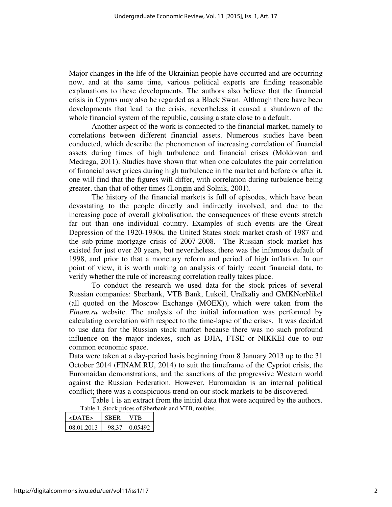Major changes in the life of the Ukrainian people have occurred and are occurring now, and at the same time, various political experts are finding reasonable explanations to these developments. The authors also believe that the financial crisis in Cyprus may also be regarded as a Black Swan. Although there have been developments that lead to the crisis, nevertheless it caused a shutdown of the whole financial system of the republic, causing a state close to a default.

Another aspect of the work is connected to the financial market, namely to correlations between different financial assets. Numerous studies have been conducted, which describe the phenomenon of increasing correlation of financial assets during times of high turbulence and financial crises (Moldovan and Medrega, 2011). Studies have shown that when one calculates the pair correlation of financial asset prices during high turbulence in the market and before or after it, one will find that the figures will differ, with correlation during turbulence being greater, than that of other times (Longin and Solnik, 2001).

The history of the financial markets is full of episodes, which have been devastating to the people directly and indirectly involved, and due to the increasing pace of overall globalisation, the consequences of these events stretch far out than one individual country. Examples of such events are the Great Depression of the 1920-1930s, the United States stock market crash of 1987 and the sub-prime mortgage crisis of 2007-2008. The Russian stock market has existed for just over 20 years, but nevertheless, there was the infamous default of 1998, and prior to that a monetary reform and period of high inflation. In our point of view, it is worth making an analysis of fairly recent financial data, to verify whether the rule of increasing correlation really takes place.

To conduct the research we used data for the stock prices of several Russian companies: Sberbank, VTB Bank, Lukoil, Uralkaliy and GMKNorNikel (all quoted on the Moscow Exchange (MOEX)), which were taken from the *Finam.ru* website. The analysis of the initial information was performed by calculating correlation with respect to the time-lapse of the crises. It was decided to use data for the Russian stock market because there was no such profound influence on the major indexes, such as DJIA, FTSE or NIKKEI due to our common economic space.

Data were taken at a day-period basis beginning from 8 January 2013 up to the 31 October 2014 (FINAM.RU, 2014) to suit the timeframe of the Cypriot crisis, the Euromaidan demonstrations, and the sanctions of the progressive Western world against the Russian Federation. However, Euromaidan is an internal political conflict; there was a conspicuous trend on our stock markets to be discovered.

Table 1 is an extract from the initial data that were acquired by the authors.

Table 1. Stock prices of Sberbank and VTB, roubles.

| <date></date> | <b>SBER</b> |         |
|---------------|-------------|---------|
| 08.01.2013    | 98.37       | 0.05492 |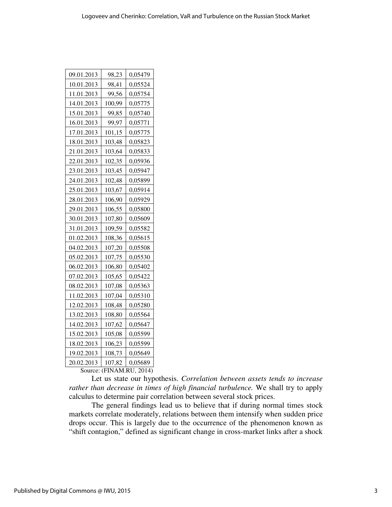| 09.01.2013 | 98,23  | 0,05479 |
|------------|--------|---------|
| 10.01.2013 | 98,41  | 0,05524 |
| 11.01.2013 | 99,56  | 0,05754 |
| 14.01.2013 | 100,99 | 0,05775 |
| 15.01.2013 | 99,85  | 0,05740 |
| 16.01.2013 | 99,97  | 0,05771 |
| 17.01.2013 | 101,15 | 0,05775 |
| 18.01.2013 | 103,48 | 0,05823 |
| 21.01.2013 | 103,64 | 0,05833 |
| 22.01.2013 | 102,35 | 0,05936 |
| 23.01.2013 | 103,45 | 0,05947 |
| 24.01.2013 | 102,48 | 0,05899 |
| 25.01.2013 | 103,67 | 0,05914 |
| 28.01.2013 | 106,90 | 0,05929 |
| 29.01.2013 | 106,55 | 0,05800 |
| 30.01.2013 | 107,80 | 0,05609 |
| 31.01.2013 | 109,59 | 0,05582 |
| 01.02.2013 | 108,36 | 0,05615 |
| 04.02.2013 | 107,20 | 0,05508 |
| 05.02.2013 | 107,75 | 0,05530 |
| 06.02.2013 | 106,80 | 0,05402 |
| 07.02.2013 | 105,65 | 0,05422 |
| 08.02.2013 | 107,08 | 0,05363 |
| 11.02.2013 | 107,04 | 0,05310 |
| 12.02.2013 | 108,48 | 0,05280 |
| 13.02.2013 | 108,80 | 0,05564 |
| 14.02.2013 | 107,62 | 0,05647 |
| 15.02.2013 | 105,08 | 0,05599 |
| 18.02.2013 | 106,23 | 0,05599 |
| 19.02.2013 | 108,73 | 0,05649 |
| 20.02.2013 | 107,82 | 0,05689 |

Source: (FINAM.RU, 2014)

Let us state our hypothesis. *Correlation between assets tends to increase rather than decrease in times of high financial turbulence.* We shall try to apply calculus to determine pair correlation between several stock prices.

The general findings lead us to believe that if during normal times stock markets correlate moderately, relations between them intensify when sudden price drops occur. This is largely due to the occurrence of the phenomenon known as "shift contagion," defined as significant change in cross-market links after a shock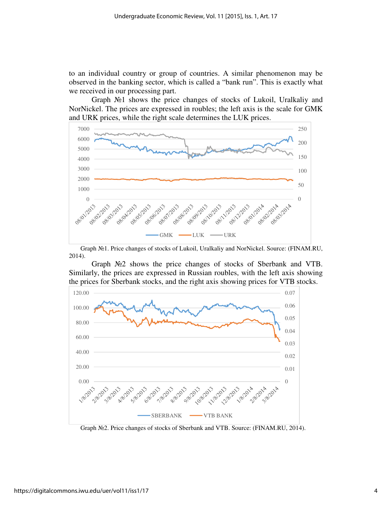to an individual country or group of countries. A similar phenomenon may be observed in the banking sector, which is called a "bank run". This is exactly what we received in our processing part.

Graph №1 shows the price changes of stocks of Lukoil, Uralkaliy and NorNickel. The prices are expressed in roubles; the left axis is the scale for GMK and URK prices, while the right scale determines the LUK prices.



Graph №1. Price changes of stocks of Lukoil, Uralkaliy and NorNickel. Source: (FINAM.RU, 2014).

Graph №2 shows the price changes of stocks of Sberbank and VTB. Similarly, the prices are expressed in Russian roubles, with the left axis showing the prices for Sberbank stocks, and the right axis showing prices for VTB stocks.



Graph №2. Price changes of stocks of Sberbank and VTB. Source: (FINAM.RU, 2014).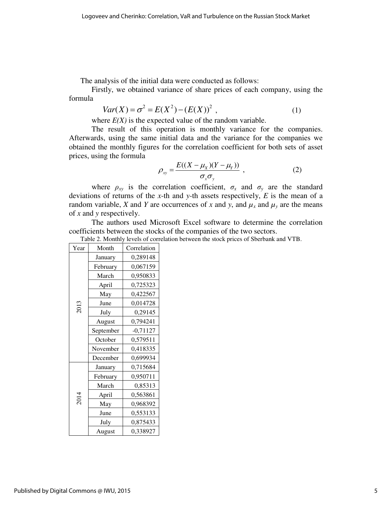The analysis of the initial data were conducted as follows:

Firstly, we obtained variance of share prices of each company, using the formula

$$
Var(X) = \sigma^2 = E(X^2) - (E(X))^2,
$$
 (1)

where  $E(X)$  is the expected value of the random variable.

 The result of this operation is monthly variance for the companies. Afterwards, using the same initial data and the variance for the companies we obtained the monthly figures for the correlation coefficient for both sets of asset prices, using the formula

$$
\rho_{xy} = \frac{E((X - \mu_X)(Y - \mu_Y))}{\sigma_x \sigma_y} \tag{2}
$$

where  $\rho_{xy}$  is the correlation coefficient,  $\sigma_x$  and  $\sigma_y$  are the standard deviations of returns of the *x*-th and *y*-th assets respectively, *E* is the mean of a random variable, *X* and *Y* are occurrences of *x* and *y*, and  $\mu_x$  and  $\mu_y$  are the means of *x* and *y* respectively.

The authors used Microsoft Excel software to determine the correlation coefficients between the stocks of the companies of the two sectors.

Table 2. Monthly levels of correlation between the stock prices of Sberbank and VTB.

| Year | Month     | Correlation |
|------|-----------|-------------|
| 2013 | January   | 0,289148    |
|      | February  | 0,067159    |
|      | March     | 0,950833    |
|      | April     | 0,725323    |
|      | May       | 0,422567    |
|      | June      | 0,014728    |
|      | July      | 0,29145     |
|      | August    | 0,794241    |
|      | September | $-0,71127$  |
|      | October   | 0,579511    |
|      | November  | 0,418335    |
|      | December  | 0,699934    |
| 2014 | January   | 0,715684    |
|      | February  | 0,950711    |
|      | March     | 0,85313     |
|      | April     | 0,563861    |
|      | May       | 0,968392    |
|      | June      | 0,553133    |
|      | July      | 0,875433    |
|      | August    | 0,338927    |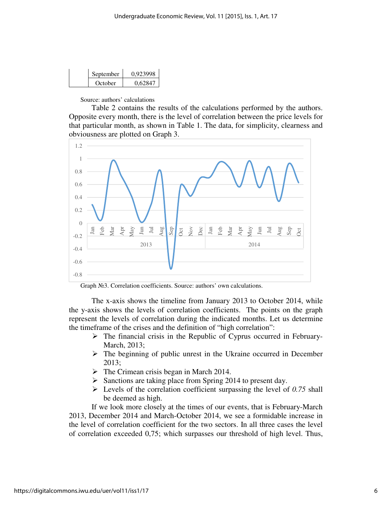| September | 0.923998 |
|-----------|----------|
| October   | 0.62847  |

Source: authors' calculations

Table 2 contains the results of the calculations performed by the authors. Opposite every month, there is the level of correlation between the price levels for that particular month, as shown in Table 1. The data, for simplicity, clearness and obviousness are plotted on Graph 3.



Graph №3. Correlation coefficients. Source: authors' own calculations.

The x-axis shows the timeline from January 2013 to October 2014, while the y-axis shows the levels of correlation coefficients. The points on the graph represent the levels of correlation during the indicated months. Let us determine the timeframe of the crises and the definition of "high correlation":

- $\triangleright$  The financial crisis in the Republic of Cyprus occurred in February-March, 2013;
- $\triangleright$  The beginning of public unrest in the Ukraine occurred in December 2013;
- $\triangleright$  The Crimean crisis began in March 2014.
- $\triangleright$  Sanctions are taking place from Spring 2014 to present day.
- $\triangleright$  Levels of the correlation coefficient surpassing the level of 0.75 shall be deemed as high.

If we look more closely at the times of our events, that is February-March 2013, December 2014 and March-October 2014, we see a formidable increase in the level of correlation coefficient for the two sectors. In all three cases the level of correlation exceeded 0,75; which surpasses our threshold of high level. Thus,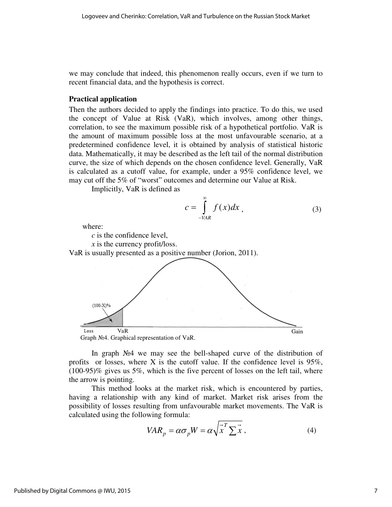we may conclude that indeed, this phenomenon really occurs, even if we turn to recent financial data, and the hypothesis is correct.

#### **Practical application**

Then the authors decided to apply the findings into practice. To do this, we used the concept of Value at Risk (VaR), which involves, among other things, correlation, to see the maximum possible risk of a hypothetical portfolio. VaR is the amount of maximum possible loss at the most unfavourable scenario, at a predetermined confidence level, it is obtained by analysis of statistical historic data. Mathematically, it may be described as the left tail of the normal distribution curve, the size of which depends on the chosen confidence level. Generally, VaR is calculated as a cutoff value, for example, under a 95% confidence level, we may cut off the 5% of "worst" outcomes and determine our Value at Risk. the concept of Value at Risk (VaR), which involves, among other thing correlation, to see the maximum possible risk of a hypothetical portfolio. VaR the amount of maximum possible loss at the most unfavourable scenario, at ctice. To do this, we used<br>es, among other things,<br>othetical portfolio. VaR is<br>favourable scenario, at a<br>gsis of statistical historic<br>of the normal distribution<br>nce level. Generally, VaR<br>5% confidence level, we<br>our Value a

Implicitly, VaR is defined as

$$
c = \int_{-VAR}^{\infty} f(x) dx
$$
, (3)

where:

*c* is the confidence level,

*x* is the currency profit/loss.

*c* is the confidence level,<br> *x* is the currency profit/loss.<br>
VaR is usually presented as a positive number (Jorion, 2011).



In graph Nº4 we may see the bell-shaped curve of the distribution of profits or losses, where X is the cutoff value. If the confidence level is  $95\%$ , (100-95)% gives us 5%, which is the five percent of losses on the left tail, where the arrow is pointing.

This method looks at the market risk, which is encountered by parties, having a relationship with any kind of market. Market risk arises from the possibility of losses resulting from unfavourable market movements. The VaR is calculated using the following In the confidence level is 95% gives us 5%, which is the five percent of losses on the left tail, where row is pointing.<br>This method looks at the market risk, which is encountered by partic g a relationship with any kind shaped curve of the distribution of<br>lue. If the confidence level is 95%<br>rcent of losses on the left tail, when<br>k, which is encountered by partie-<br>tarket. Market risk arises from the<br>able market movements. The VaR if<br> $\alpha \sqrt$ 

$$
VAR_p = \alpha \sigma_p W = \alpha \sqrt{\vec{x}^T \Sigma \vec{x}}, \qquad (4)
$$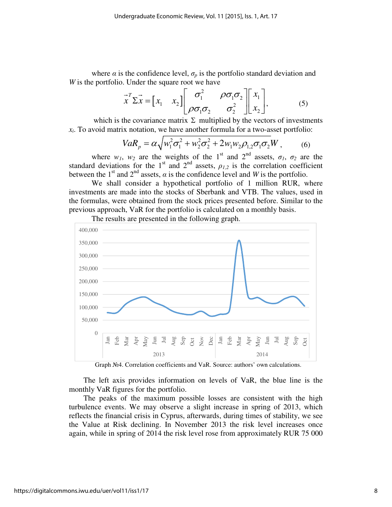where  $\alpha$  is the confidence level,  $\sigma_p$  is the portfolio standard deviation and *W* is the portfolio. Under the square root we have

$$
\vec{x}^T \Sigma \vec{x} = \begin{bmatrix} x_1 & x_2 \end{bmatrix} \begin{bmatrix} \sigma_1^2 & \rho \sigma_1 \sigma_2 \\ \rho \sigma_1 \sigma_2 & \sigma_2^2 \end{bmatrix} \begin{bmatrix} x_1 \\ x_2 \end{bmatrix},
$$
 (5)

which is the covariance matrix  $\Sigma$  multiplied by the vectors of investments *xi* . To avoid matrix notation, we have another formula for a two-asset portfolio:

$$
VaR_p = \alpha \sqrt{w_1^2 \sigma_1^2 + w_2^2 \sigma_2^2 + 2w_1 w_2 \rho_{1,2} \sigma_1 \sigma_2 W},
$$
 (6)

where  $w_1$ ,  $w_2$  are the weights of the 1<sup>st</sup> and 2<sup>nd</sup> assets,  $\sigma_1$ ,  $\sigma_2$  are the standard deviations for the 1<sup>st</sup> and 2<sup>nd</sup> assets,  $\rho_{1,2}$  is the correlation coefficient between the 1<sup>st</sup> and  $2<sup>nd</sup>$  assets,  $\alpha$  is the confidence level and *W* is the portfolio.

We shall consider a hypothetical portfolio of 1 million RUR, where investments are made into the stocks of Sberbank and VTB. The values, used in the formulas, were obtained from the stock prices presented before. Similar to the previous approach, VaR for the portfolio is calculated on a monthly basis.



The results are presented in the following graph.

Graph №4. Correlation coefficients and VaR. Source: authors' own calculations.

The left axis provides information on levels of VaR, the blue line is the monthly VaR figures for the portfolio.

The peaks of the maximum possible losses are consistent with the high turbulence events. We may observe a slight increase in spring of 2013, which reflects the financial crisis in Cyprus, afterwards, during times of stability, we see the Value at Risk declining. In November 2013 the risk level increases once again, while in spring of 2014 the risk level rose from approximately RUR 75 000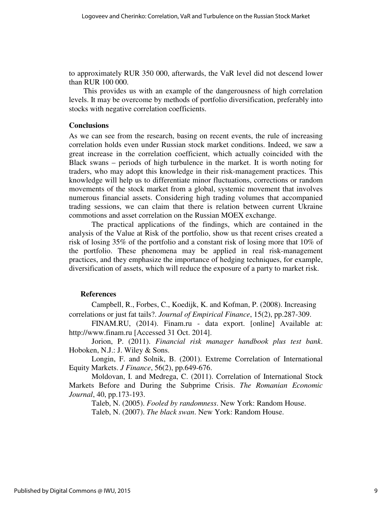to approximately RUR 350 000, afterwards, the VaR level did not descend lower than RUR 100 000.

This provides us with an example of the dangerousness of high correlation levels. It may be overcome by methods of portfolio diversification, preferably into stocks with negative correlation coefficients.

#### **Conclusions**

As we can see from the research, basing on recent events, the rule of increasing correlation holds even under Russian stock market conditions. Indeed, we saw a great increase in the correlation coefficient, which actually coincided with the Black swans – periods of high turbulence in the market. It is worth noting for traders, who may adopt this knowledge in their risk-management practices. This knowledge will help us to differentiate minor fluctuations, corrections or random movements of the stock market from a global, systemic movement that involves numerous financial assets. Considering high trading volumes that accompanied trading sessions, we can claim that there is relation between current Ukraine commotions and asset correlation on the Russian MOEX exchange.

The practical applications of the findings, which are contained in the analysis of the Value at Risk of the portfolio, show us that recent crises created a risk of losing 35% of the portfolio and a constant risk of losing more that 10% of the portfolio. These phenomena may be applied in real risk-management practices, and they emphasize the importance of hedging techniques, for example, diversification of assets, which will reduce the exposure of a party to market risk.

#### **References**

Campbell, R., Forbes, C., Koedijk, K. and Kofman, P. (2008). Increasing correlations or just fat tails?. *Journal of Empirical Finance*, 15(2), pp.287-309.

FINAM.RU, (2014). Finam.ru - data export. [online] Available at: http://www.finam.ru [Accessed 31 Oct. 2014].

Jorion, P. (2011). *Financial risk manager handbook plus test bank*. Hoboken, N.J.: J. Wiley & Sons.

Longin, F. and Solnik, B. (2001). Extreme Correlation of International Equity Markets. *J Finance*, 56(2), pp.649-676.

Moldovan, I. and Medrega, C. (2011). Correlation of International Stock Markets Before and During the Subprime Crisis. *The Romanian Economic Journal*, 40, pp.173-193.

Taleb, N. (2005). *Fooled by randomness*. New York: Random House. Taleb, N. (2007). *The black swan*. New York: Random House.